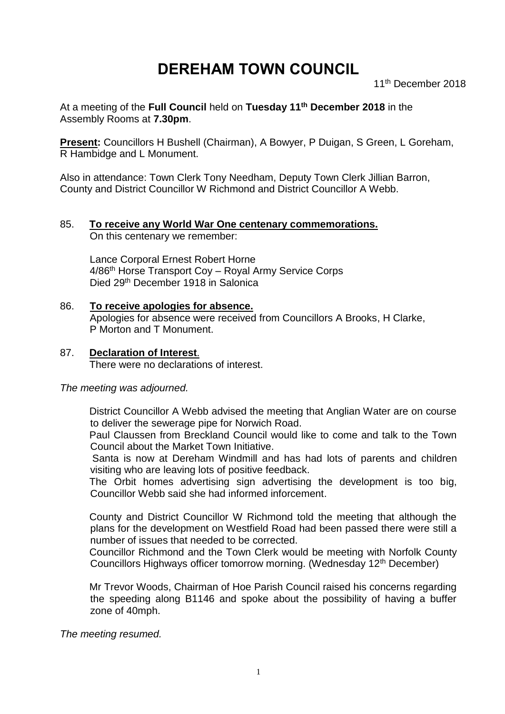# **DEREHAM TOWN COUNCIL**

11<sup>th</sup> December 2018

At a meeting of the **Full Council** held on **Tuesday 11th December 2018** in the Assembly Rooms at **7.30pm**.

**Present:** Councillors H Bushell (Chairman), A Bowyer, P Duigan, S Green, L Goreham, R Hambidge and L Monument.

Also in attendance: Town Clerk Tony Needham, Deputy Town Clerk Jillian Barron, County and District Councillor W Richmond and District Councillor A Webb.

#### 85. **To receive any World War One centenary commemorations.** On this centenary we remember:

Lance Corporal Ernest Robert Horne 4/86th Horse Transport Coy – Royal Army Service Corps Died 29th December 1918 in Salonica

86. **To receive apologies for absence.** Apologies for absence were received from Councillors A Brooks, H Clarke, P Morton and T Monument.

## 87. **Declaration of Interest**.

There were no declarations of interest.

#### *The meeting was adjourned.*

District Councillor A Webb advised the meeting that Anglian Water are on course to deliver the sewerage pipe for Norwich Road.

Paul Claussen from Breckland Council would like to come and talk to the Town Council about the Market Town Initiative.

Santa is now at Dereham Windmill and has had lots of parents and children visiting who are leaving lots of positive feedback.

The Orbit homes advertising sign advertising the development is too big, Councillor Webb said she had informed inforcement.

County and District Councillor W Richmond told the meeting that although the plans for the development on Westfield Road had been passed there were still a number of issues that needed to be corrected.

Councillor Richmond and the Town Clerk would be meeting with Norfolk County Councillors Highways officer tomorrow morning. (Wednesday 12<sup>th</sup> December)

Mr Trevor Woods, Chairman of Hoe Parish Council raised his concerns regarding the speeding along B1146 and spoke about the possibility of having a buffer zone of 40mph.

*The meeting resumed.*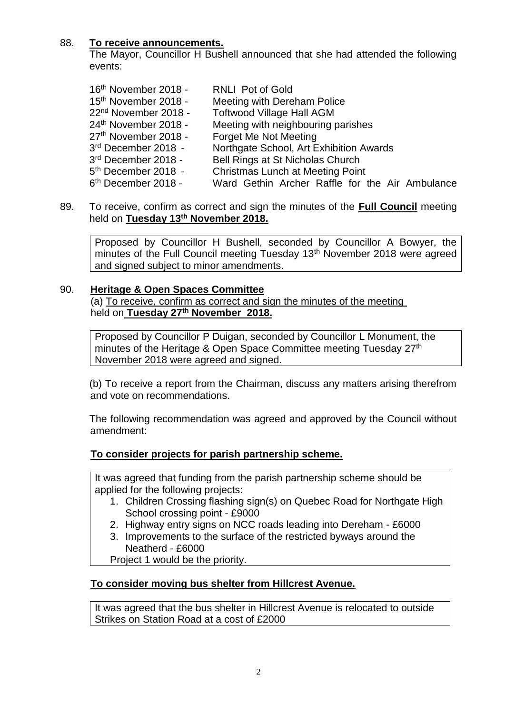## 88. **To receive announcements.**

The Mayor, Councillor H Bushell announced that she had attended the following events:

| 16 <sup>th</sup> November 2018 - | <b>RNLI Pot of Gold</b>                         |
|----------------------------------|-------------------------------------------------|
| 15 <sup>th</sup> November 2018 - | Meeting with Dereham Police                     |
| 22 <sup>nd</sup> November 2018 - | <b>Toftwood Village Hall AGM</b>                |
| 24 <sup>th</sup> November 2018 - | Meeting with neighbouring parishes              |
| 27 <sup>th</sup> November 2018 - | Forget Me Not Meeting                           |
| 3 <sup>rd</sup> December 2018 -  | Northgate School, Art Exhibition Awards         |
| 3 <sup>rd</sup> December 2018 -  | Bell Rings at St Nicholas Church                |
| 5 <sup>th</sup> December 2018 -  | <b>Christmas Lunch at Meeting Point</b>         |
| 6 <sup>th</sup> December 2018 -  | Ward Gethin Archer Raffle for the Air Ambulance |
|                                  |                                                 |

89. To receive, confirm as correct and sign the minutes of the **Full Council** meeting held on **Tuesday 13th November 2018.**

Proposed by Councillor H Bushell, seconded by Councillor A Bowyer, the minutes of the Full Council meeting Tuesday 13<sup>th</sup> November 2018 were agreed and signed subject to minor amendments.

### 90. **Heritage & Open Spaces Committee**

(a) To receive, confirm as correct and sign the minutes of the meeting held on **Tuesday 27th November 2018.**

Proposed by Councillor P Duigan, seconded by Councillor L Monument, the minutes of the Heritage & Open Space Committee meeting Tuesday 27<sup>th</sup> November 2018 were agreed and signed.

(b) To receive a report from the Chairman, discuss any matters arising therefrom and vote on recommendations.

The following recommendation was agreed and approved by the Council without amendment:

### **To consider projects for parish partnership scheme.**

It was agreed that funding from the parish partnership scheme should be applied for the following projects:

- 1. Children Crossing flashing sign(s) on Quebec Road for Northgate High School crossing point - £9000
- 2. Highway entry signs on NCC roads leading into Dereham £6000
- 3. Improvements to the surface of the restricted byways around the Neatherd - £6000

Project 1 would be the priority.

### **To consider moving bus shelter from Hillcrest Avenue.**

It was agreed that the bus shelter in Hillcrest Avenue is relocated to outside Strikes on Station Road at a cost of £2000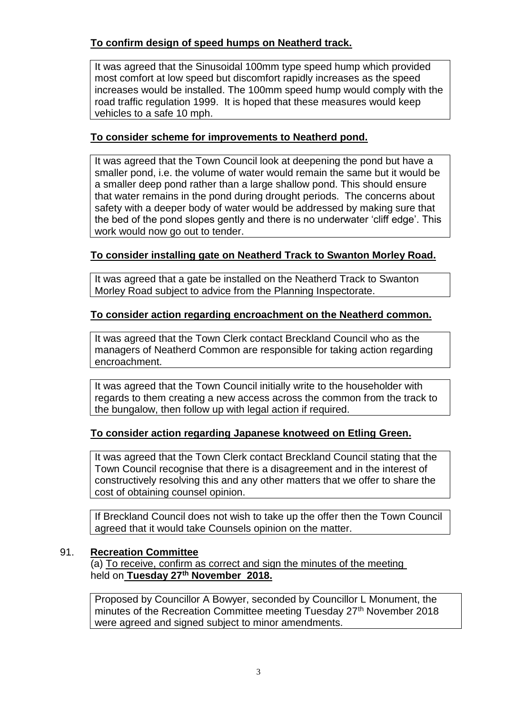# **To confirm design of speed humps on Neatherd track.**

It was agreed that the Sinusoidal 100mm type speed hump which provided most comfort at low speed but discomfort rapidly increases as the speed increases would be installed. The 100mm speed hump would comply with the road traffic regulation 1999. It is hoped that these measures would keep vehicles to a safe 10 mph.

# **To consider scheme for improvements to Neatherd pond.**

It was agreed that the Town Council look at deepening the pond but have a smaller pond, i.e. the volume of water would remain the same but it would be a smaller deep pond rather than a large shallow pond. This should ensure that water remains in the pond during drought periods. The concerns about safety with a deeper body of water would be addressed by making sure that the bed of the pond slopes gently and there is no underwater 'cliff edge'. This work would now go out to tender.

## **To consider installing gate on Neatherd Track to Swanton Morley Road.**

It was agreed that a gate be installed on the Neatherd Track to Swanton Morley Road subject to advice from the Planning Inspectorate.

## **To consider action regarding encroachment on the Neatherd common.**

It was agreed that the Town Clerk contact Breckland Council who as the managers of Neatherd Common are responsible for taking action regarding encroachment.

It was agreed that the Town Council initially write to the householder with regards to them creating a new access across the common from the track to the bungalow, then follow up with legal action if required.

## **To consider action regarding Japanese knotweed on Etling Green.**

It was agreed that the Town Clerk contact Breckland Council stating that the Town Council recognise that there is a disagreement and in the interest of constructively resolving this and any other matters that we offer to share the cost of obtaining counsel opinion.

If Breckland Council does not wish to take up the offer then the Town Council agreed that it would take Counsels opinion on the matter.

### 91. **Recreation Committee**

(a) To receive, confirm as correct and sign the minutes of the meeting held on **Tuesday 27th November 2018.**

Proposed by Councillor A Bowyer, seconded by Councillor L Monument, the minutes of the Recreation Committee meeting Tuesday 27<sup>th</sup> November 2018 were agreed and signed subject to minor amendments.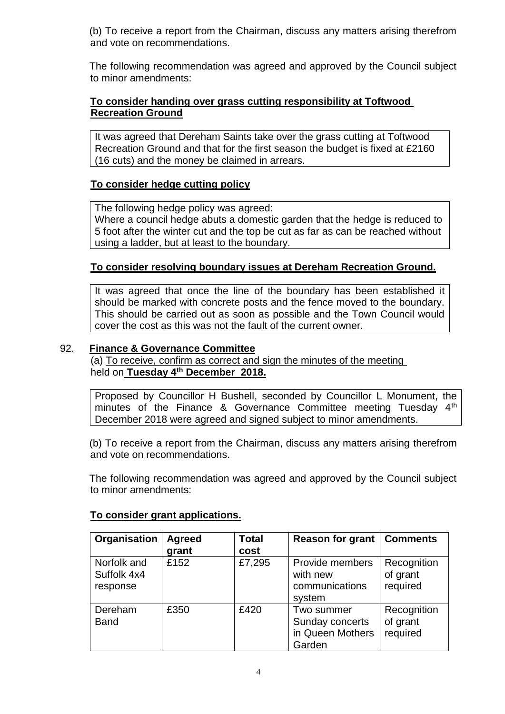(b) To receive a report from the Chairman, discuss any matters arising therefrom and vote on recommendations.

The following recommendation was agreed and approved by the Council subject to minor amendments:

## **To consider handing over grass cutting responsibility at Toftwood Recreation Ground**

It was agreed that Dereham Saints take over the grass cutting at Toftwood Recreation Ground and that for the first season the budget is fixed at £2160 (16 cuts) and the money be claimed in arrears.

## **To consider hedge cutting policy**

The following hedge policy was agreed: Where a council hedge abuts a domestic garden that the hedge is reduced to 5 foot after the winter cut and the top be cut as far as can be reached without using a ladder, but at least to the boundary.

## **To consider resolving boundary issues at Dereham Recreation Ground.**

It was agreed that once the line of the boundary has been established it should be marked with concrete posts and the fence moved to the boundary. This should be carried out as soon as possible and the Town Council would cover the cost as this was not the fault of the current owner.

## 92. **Finance & Governance Committee**

(a) To receive, confirm as correct and sign the minutes of the meeting held on **Tuesday 4th December 2018.**

Proposed by Councillor H Bushell, seconded by Councillor L Monument, the minutes of the Finance & Governance Committee meeting Tuesday 4<sup>th</sup> December 2018 were agreed and signed subject to minor amendments.

(b) To receive a report from the Chairman, discuss any matters arising therefrom and vote on recommendations.

The following recommendation was agreed and approved by the Council subject to minor amendments:

### **To consider grant applications.**

| Organisation                           | <b>Agreed</b> | <b>Total</b> | <b>Reason for grant   Comments</b>                          |                                     |
|----------------------------------------|---------------|--------------|-------------------------------------------------------------|-------------------------------------|
|                                        | grant         | cost         |                                                             |                                     |
| Norfolk and<br>Suffolk 4x4<br>response | £152          | £7,295       | Provide members<br>with new<br>communications<br>system     | Recognition<br>of grant<br>required |
| Dereham<br><b>Band</b>                 | £350          | £420         | Two summer<br>Sunday concerts<br>in Queen Mothers<br>Garden | Recognition<br>of grant<br>required |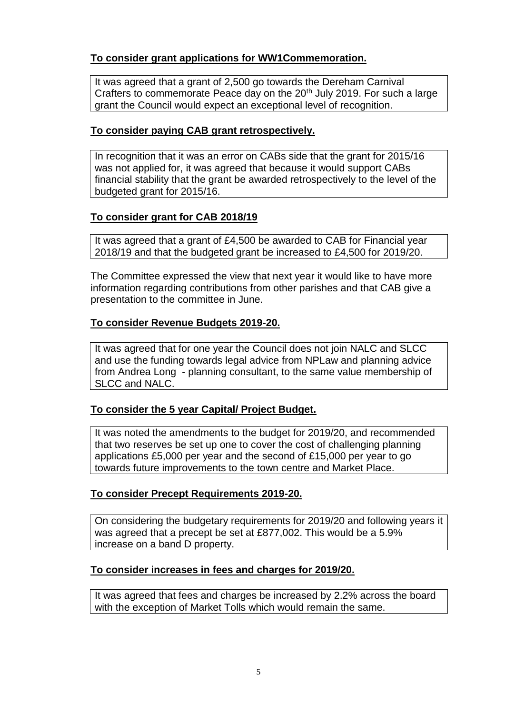# **To consider grant applications for WW1Commemoration.**

It was agreed that a grant of 2,500 go towards the Dereham Carnival Crafters to commemorate Peace day on the 20<sup>th</sup> July 2019. For such a large grant the Council would expect an exceptional level of recognition.

## **To consider paying CAB grant retrospectively.**

In recognition that it was an error on CABs side that the grant for 2015/16 was not applied for, it was agreed that because it would support CABs financial stability that the grant be awarded retrospectively to the level of the budgeted grant for 2015/16.

## **To consider grant for CAB 2018/19**

It was agreed that a grant of £4,500 be awarded to CAB for Financial year 2018/19 and that the budgeted grant be increased to £4,500 for 2019/20.

The Committee expressed the view that next year it would like to have more information regarding contributions from other parishes and that CAB give a presentation to the committee in June.

## **To consider Revenue Budgets 2019-20.**

It was agreed that for one year the Council does not join NALC and SLCC and use the funding towards legal advice from NPLaw and planning advice from Andrea Long - planning consultant, to the same value membership of SLCC and NALC.

## **To consider the 5 year Capital/ Project Budget.**

It was noted the amendments to the budget for 2019/20, and recommended that two reserves be set up one to cover the cost of challenging planning applications £5,000 per year and the second of £15,000 per year to go towards future improvements to the town centre and Market Place.

## **To consider Precept Requirements 2019-20.**

On considering the budgetary requirements for 2019/20 and following years it was agreed that a precept be set at £877,002. This would be a 5.9% increase on a band D property.

### **To consider increases in fees and charges for 2019/20.**

It was agreed that fees and charges be increased by 2.2% across the board with the exception of Market Tolls which would remain the same.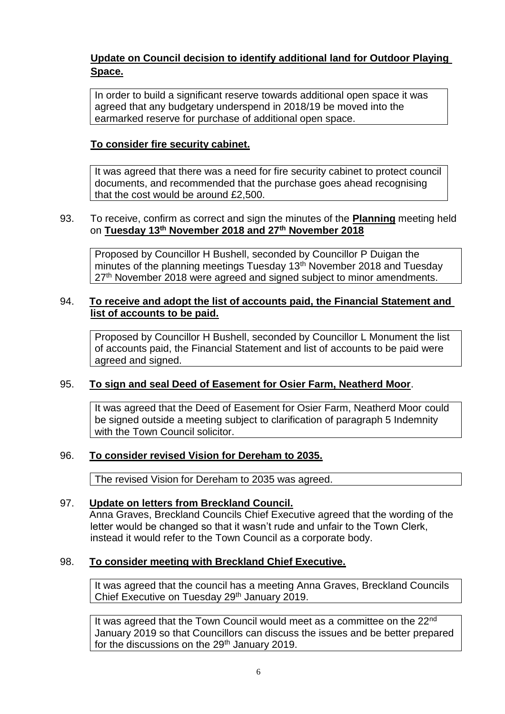# **Update on Council decision to identify additional land for Outdoor Playing Space.**

In order to build a significant reserve towards additional open space it was agreed that any budgetary underspend in 2018/19 be moved into the earmarked reserve for purchase of additional open space.

## **To consider fire security cabinet.**

It was agreed that there was a need for fire security cabinet to protect council documents, and recommended that the purchase goes ahead recognising that the cost would be around £2,500.

#### 93. To receive, confirm as correct and sign the minutes of the **Planning** meeting held on **Tuesday 13th November 2018 and 27th November 2018**

Proposed by Councillor H Bushell, seconded by Councillor P Duigan the minutes of the planning meetings Tuesday 13<sup>th</sup> November 2018 and Tuesday 27<sup>th</sup> November 2018 were agreed and signed subject to minor amendments.

### 94. **To receive and adopt the list of accounts paid, the Financial Statement and list of accounts to be paid.**

Proposed by Councillor H Bushell, seconded by Councillor L Monument the list of accounts paid, the Financial Statement and list of accounts to be paid were agreed and signed.

### 95. **To sign and seal Deed of Easement for Osier Farm, Neatherd Moor**.

It was agreed that the Deed of Easement for Osier Farm, Neatherd Moor could be signed outside a meeting subject to clarification of paragraph 5 Indemnity with the Town Council solicitor.

### 96. **To consider revised Vision for Dereham to 2035.**

The revised Vision for Dereham to 2035 was agreed.

### 97. **Update on letters from Breckland Council.**

Anna Graves, Breckland Councils Chief Executive agreed that the wording of the letter would be changed so that it wasn't rude and unfair to the Town Clerk, instead it would refer to the Town Council as a corporate body.

### 98. **To consider meeting with Breckland Chief Executive.**

It was agreed that the council has a meeting Anna Graves, Breckland Councils Chief Executive on Tuesday 29th January 2019.

It was agreed that the Town Council would meet as a committee on the 22<sup>nd</sup> January 2019 so that Councillors can discuss the issues and be better prepared for the discussions on the 29<sup>th</sup> January 2019.